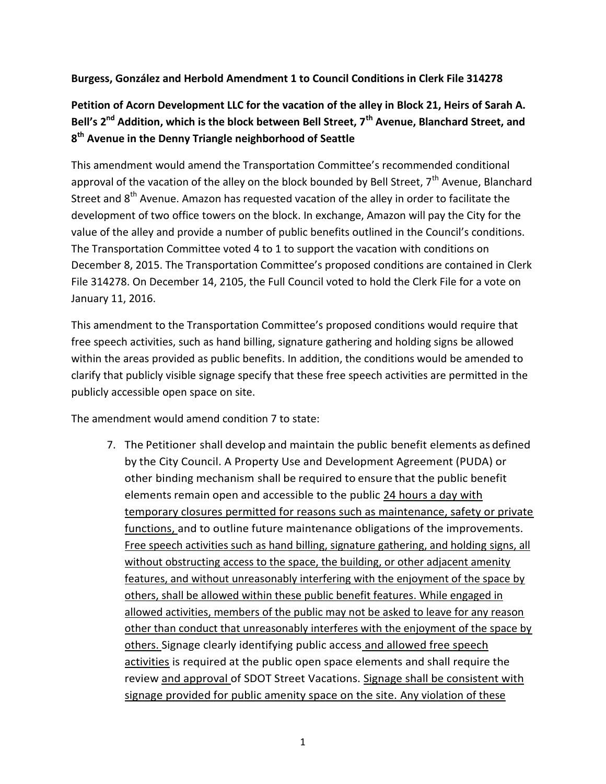## **Burgess, González and Herbold Amendment 1 to Council Conditions in Clerk File 314278**

## **Petition of Acorn Development LLC for the vacation of the alley in Block 21, Heirs of Sarah A. Bell's 2nd Addition, which is the block between Bell Street, 7th Avenue, Blanchard Street, and 8 th Avenue in the Denny Triangle neighborhood of Seattle**

This amendment would amend the Transportation Committee's recommended conditional approval of the vacation of the alley on the block bounded by Bell Street, 7<sup>th</sup> Avenue, Blanchard Street and  $8<sup>th</sup>$  Avenue. Amazon has requested vacation of the alley in order to facilitate the development of two office towers on the block. In exchange, Amazon will pay the City for the value of the alley and provide a number of public benefits outlined in the Council's conditions. The Transportation Committee voted 4 to 1 to support the vacation with conditions on December 8, 2015. The Transportation Committee's proposed conditions are contained in Clerk File 314278. On December 14, 2105, the Full Council voted to hold the Clerk File for a vote on January 11, 2016.

This amendment to the Transportation Committee's proposed conditions would require that free speech activities, such as hand billing, signature gathering and holding signs be allowed within the areas provided as public benefits. In addition, the conditions would be amended to clarify that publicly visible signage specify that these free speech activities are permitted in the publicly accessible open space on site.

The amendment would amend condition 7 to state:

7. The Petitioner shall develop and maintain the public benefit elements as defined by the City Council. A Property Use and Development Agreement (PUDA) or other binding mechanism shall be required to ensure that the public benefit elements remain open and accessible to the public 24 hours a day with temporary closures permitted for reasons such as maintenance, safety or private functions, and to outline future maintenance obligations of the improvements. Free speech activities such as hand billing, signature gathering, and holding signs, all without obstructing access to the space, the building, or other adjacent amenity features, and without unreasonably interfering with the enjoyment of the space by others, shall be allowed within these public benefit features. While engaged in allowed activities, members of the public may not be asked to leave for any reason other than conduct that unreasonably interferes with the enjoyment of the space by others. Signage clearly identifying public access and allowed free speech activities is required at the public open space elements and shall require the review and approval of SDOT Street Vacations. Signage shall be consistent with signage provided for public amenity space on the site. Any violation of these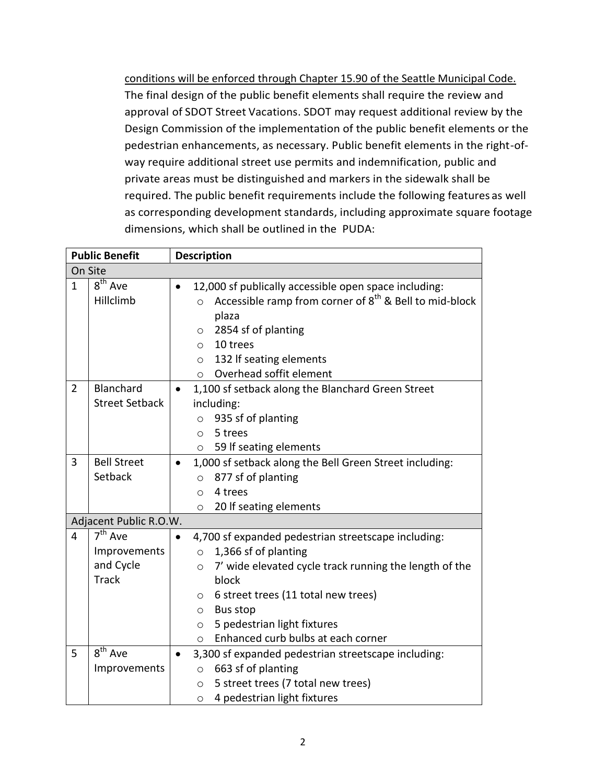conditions will be enforced through Chapter 15.90 of the Seattle Municipal Code. The final design of the public benefit elements shall require the review and approval of SDOT Street Vacations. SDOT may request additional review by the Design Commission of the implementation of the public benefit elements or the pedestrian enhancements, as necessary. Public benefit elements in the right-ofway require additional street use permits and indemnification, public and private areas must be distinguished and markers in the sidewalk shall be required. The public benefit requirements include the following features as well as corresponding development standards, including approximate square footage dimensions, which shall be outlined in the PUDA:

| <b>Public Benefit</b> |                                                                               | <b>Description</b>                                                                                                                                                                                                                                                                                                                              |  |  |  |
|-----------------------|-------------------------------------------------------------------------------|-------------------------------------------------------------------------------------------------------------------------------------------------------------------------------------------------------------------------------------------------------------------------------------------------------------------------------------------------|--|--|--|
| On Site               |                                                                               |                                                                                                                                                                                                                                                                                                                                                 |  |  |  |
| $\mathbf{1}$          | $8th$ Ave<br>Hillclimb                                                        | 12,000 sf publically accessible open space including:<br>Accessible ramp from corner of 8 <sup>th</sup> & Bell to mid-block<br>$\circ$<br>plaza<br>2854 sf of planting<br>$\circ$<br>10 trees<br>$\bigcirc$<br>132 If seating elements<br>$\circ$<br>Overhead soffit element<br>$\circ$                                                         |  |  |  |
| $\overline{2}$        | Blanchard<br><b>Street Setback</b>                                            | 1,100 sf setback along the Blanchard Green Street<br>$\bullet$<br>including:<br>935 sf of planting<br>$\circ$<br>5 trees<br>$\circ$<br>59 If seating elements<br>$\circ$                                                                                                                                                                        |  |  |  |
| 3                     | <b>Bell Street</b><br>Setback                                                 | 1,000 sf setback along the Bell Green Street including:<br>$\bullet$<br>877 sf of planting<br>$\circ$<br>4 trees<br>$\circ$<br>20 If seating elements<br>$\circ$                                                                                                                                                                                |  |  |  |
|                       | Adjacent Public R.O.W.                                                        |                                                                                                                                                                                                                                                                                                                                                 |  |  |  |
| 4                     | $\overline{7}$ <sup>th</sup> Ave<br>Improvements<br>and Cycle<br><b>Track</b> | 4,700 sf expanded pedestrian streetscape including:<br>1,366 sf of planting<br>$\circ$<br>7' wide elevated cycle track running the length of the<br>$\circ$<br>block<br>6 street trees (11 total new trees)<br>$\circ$<br><b>Bus stop</b><br>$\circ$<br>5 pedestrian light fixtures<br>$\circ$<br>Enhanced curb bulbs at each corner<br>$\circ$ |  |  |  |
| 5                     | 8 <sup>th</sup> Ave<br>Improvements                                           | 3,300 sf expanded pedestrian streetscape including:<br>$\bullet$<br>663 sf of planting<br>$\circ$<br>5 street trees (7 total new trees)<br>$\circ$<br>4 pedestrian light fixtures<br>$\circ$                                                                                                                                                    |  |  |  |